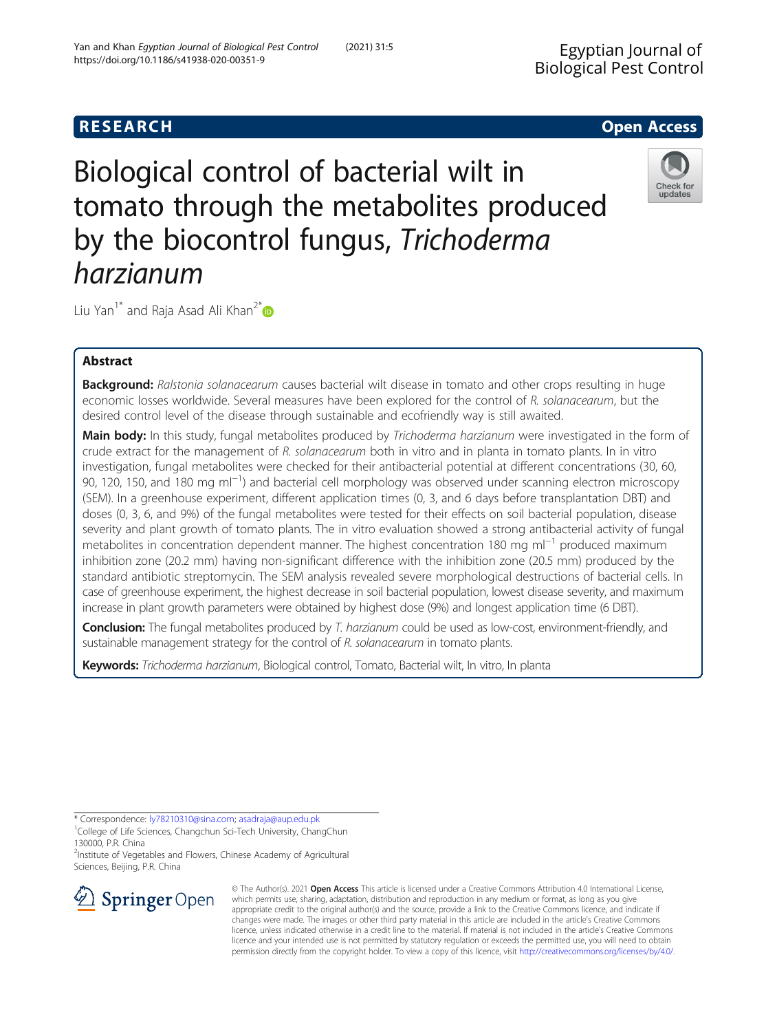# **RESEARCH CHE Open Access**

# Biological control of bacterial wilt in tomato through the metabolites produced by the biocontrol fungus, Trichoderma harzianum

Liu Yan<sup>1[\\*](http://orcid.org/0000-0001-5767-3466)</sup> and Raja Asad Ali Khan<sup>2\*</sup>

## Abstract

Background: Ralstonia solanacearum causes bacterial wilt disease in tomato and other crops resulting in huge economic losses worldwide. Several measures have been explored for the control of R. solanacearum, but the desired control level of the disease through sustainable and ecofriendly way is still awaited.

Main body: In this study, fungal metabolites produced by Trichoderma harzianum were investigated in the form of crude extract for the management of R. solanacearum both in vitro and in planta in tomato plants. In in vitro investigation, fungal metabolites were checked for their antibacterial potential at different concentrations (30, 60, 90, 120, 150, and 180 mg ml<sup>-1</sup>) and bacterial cell morphology was observed under scanning electron microscopy (SEM). In a greenhouse experiment, different application times (0, 3, and 6 days before transplantation DBT) and doses (0, 3, 6, and 9%) of the fungal metabolites were tested for their effects on soil bacterial population, disease severity and plant growth of tomato plants. The in vitro evaluation showed a strong antibacterial activity of fungal metabolites in concentration dependent manner. The highest concentration 180 mg ml<sup>−1</sup> produced maximum inhibition zone (20.2 mm) having non-significant difference with the inhibition zone (20.5 mm) produced by the standard antibiotic streptomycin. The SEM analysis revealed severe morphological destructions of bacterial cells. In case of greenhouse experiment, the highest decrease in soil bacterial population, lowest disease severity, and maximum increase in plant growth parameters were obtained by highest dose (9%) and longest application time (6 DBT).

Conclusion: The fungal metabolites produced by T. harzianum could be used as low-cost, environment-friendly, and sustainable management strategy for the control of R. solanacearum in tomato plants.

Keywords: Trichoderma harzianum, Biological control, Tomato, Bacterial wilt, In vitro, In planta

\* Correspondence: [ly78210310@sina.com;](mailto:ly78210310@sina.com) [asadraja@aup.edu.pk](mailto:asadraja@aup.edu.pk) <sup>1</sup>

<sup>1</sup>College of Life Sciences, Changchun Sci-Tech University, ChangChun 130000, P.R. China

<sup>2</sup>Institute of Vegetables and Flowers, Chinese Academy of Agricultural Sciences, Beijing, P.R. China



© The Author(s). 2021 Open Access This article is licensed under a Creative Commons Attribution 4.0 International License, which permits use, sharing, adaptation, distribution and reproduction in any medium or format, as long as you give appropriate credit to the original author(s) and the source, provide a link to the Creative Commons licence, and indicate if changes were made. The images or other third party material in this article are included in the article's Creative Commons licence, unless indicated otherwise in a credit line to the material. If material is not included in the article's Creative Commons licence and your intended use is not permitted by statutory regulation or exceeds the permitted use, you will need to obtain permission directly from the copyright holder. To view a copy of this licence, visit <http://creativecommons.org/licenses/by/4.0/>.





updates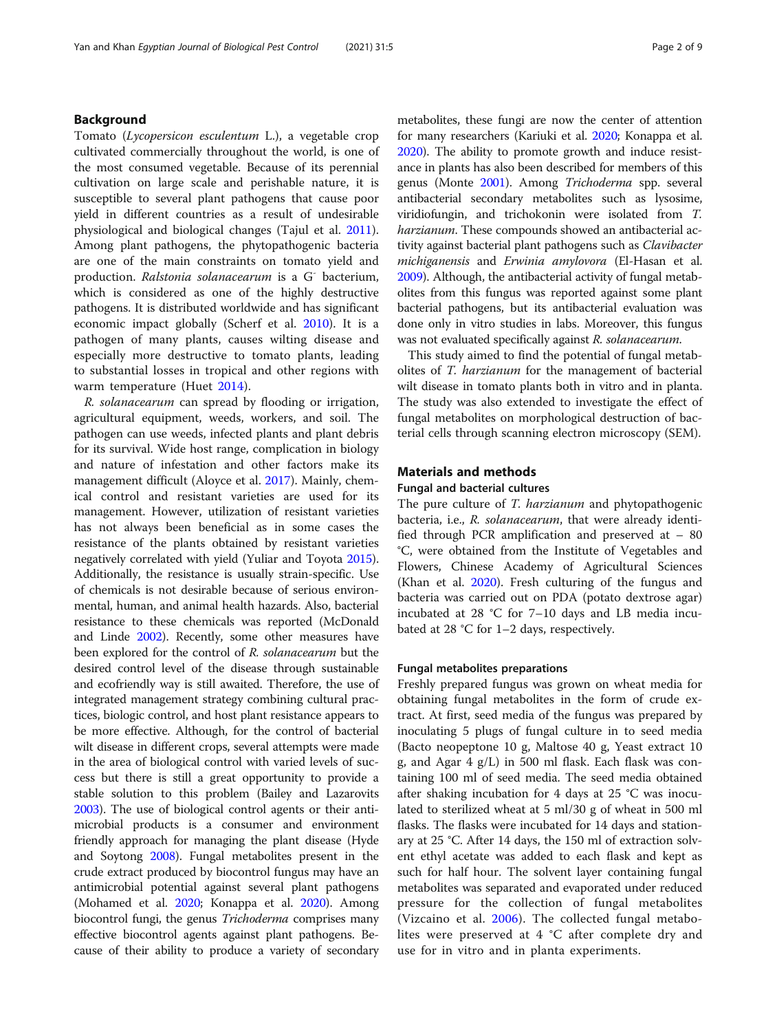## Background

Tomato (Lycopersicon esculentum L.), a vegetable crop cultivated commercially throughout the world, is one of the most consumed vegetable. Because of its perennial cultivation on large scale and perishable nature, it is susceptible to several plant pathogens that cause poor yield in different countries as a result of undesirable physiological and biological changes (Tajul et al. [2011](#page-8-0)). Among plant pathogens, the phytopathogenic bacteria are one of the main constraints on tomato yield and production. Ralstonia solanacearum is a G<sup>-</sup> bacterium, which is considered as one of the highly destructive pathogens. It is distributed worldwide and has significant economic impact globally (Scherf et al. [2010](#page-8-0)). It is a pathogen of many plants, causes wilting disease and especially more destructive to tomato plants, leading to substantial losses in tropical and other regions with warm temperature (Huet [2014\)](#page-8-0).

R. solanacearum can spread by flooding or irrigation, agricultural equipment, weeds, workers, and soil. The pathogen can use weeds, infected plants and plant debris for its survival. Wide host range, complication in biology and nature of infestation and other factors make its management difficult (Aloyce et al. [2017\)](#page-7-0). Mainly, chemical control and resistant varieties are used for its management. However, utilization of resistant varieties has not always been beneficial as in some cases the resistance of the plants obtained by resistant varieties negatively correlated with yield (Yuliar and Toyota [2015](#page-8-0)). Additionally, the resistance is usually strain-specific. Use of chemicals is not desirable because of serious environmental, human, and animal health hazards. Also, bacterial resistance to these chemicals was reported (McDonald and Linde [2002](#page-8-0)). Recently, some other measures have been explored for the control of R. solanacearum but the desired control level of the disease through sustainable and ecofriendly way is still awaited. Therefore, the use of integrated management strategy combining cultural practices, biologic control, and host plant resistance appears to be more effective. Although, for the control of bacterial wilt disease in different crops, several attempts were made in the area of biological control with varied levels of success but there is still a great opportunity to provide a stable solution to this problem (Bailey and Lazarovits [2003\)](#page-7-0). The use of biological control agents or their antimicrobial products is a consumer and environment friendly approach for managing the plant disease (Hyde and Soytong [2008](#page-8-0)). Fungal metabolites present in the crude extract produced by biocontrol fungus may have an antimicrobial potential against several plant pathogens (Mohamed et al. [2020;](#page-8-0) Konappa et al. [2020\)](#page-8-0). Among biocontrol fungi, the genus Trichoderma comprises many effective biocontrol agents against plant pathogens. Because of their ability to produce a variety of secondary metabolites, these fungi are now the center of attention for many researchers (Kariuki et al. [2020](#page-8-0); Konappa et al. [2020\)](#page-8-0). The ability to promote growth and induce resistance in plants has also been described for members of this genus (Monte [2001](#page-8-0)). Among Trichoderma spp. several antibacterial secondary metabolites such as lysosime, viridiofungin, and trichokonin were isolated from T. harzianum. These compounds showed an antibacterial activity against bacterial plant pathogens such as *Clavibacter* michiganensis and Erwinia amylovora (El-Hasan et al. [2009\)](#page-7-0). Although, the antibacterial activity of fungal metabolites from this fungus was reported against some plant bacterial pathogens, but its antibacterial evaluation was done only in vitro studies in labs. Moreover, this fungus was not evaluated specifically against R. solanacearum.

This study aimed to find the potential of fungal metabolites of T. harzianum for the management of bacterial wilt disease in tomato plants both in vitro and in planta. The study was also extended to investigate the effect of fungal metabolites on morphological destruction of bacterial cells through scanning electron microscopy (SEM).

## Materials and methods

## Fungal and bacterial cultures

The pure culture of T. *harzianum* and phytopathogenic bacteria, i.e., R. solanacearum, that were already identified through PCR amplification and preserved at – 80 °C, were obtained from the Institute of Vegetables and Flowers, Chinese Academy of Agricultural Sciences (Khan et al. [2020\)](#page-8-0). Fresh culturing of the fungus and bacteria was carried out on PDA (potato dextrose agar) incubated at 28 °C for 7–10 days and LB media incubated at 28 °C for 1–2 days, respectively.

#### Fungal metabolites preparations

Freshly prepared fungus was grown on wheat media for obtaining fungal metabolites in the form of crude extract. At first, seed media of the fungus was prepared by inoculating 5 plugs of fungal culture in to seed media (Bacto neopeptone 10 g, Maltose 40 g, Yeast extract 10 g, and Agar 4 g/L) in 500 ml flask. Each flask was containing 100 ml of seed media. The seed media obtained after shaking incubation for 4 days at 25 °C was inoculated to sterilized wheat at 5 ml/30 g of wheat in 500 ml flasks. The flasks were incubated for 14 days and stationary at 25 °C. After 14 days, the 150 ml of extraction solvent ethyl acetate was added to each flask and kept as such for half hour. The solvent layer containing fungal metabolites was separated and evaporated under reduced pressure for the collection of fungal metabolites (Vizcaino et al. [2006](#page-8-0)). The collected fungal metabolites were preserved at 4 °C after complete dry and use for in vitro and in planta experiments.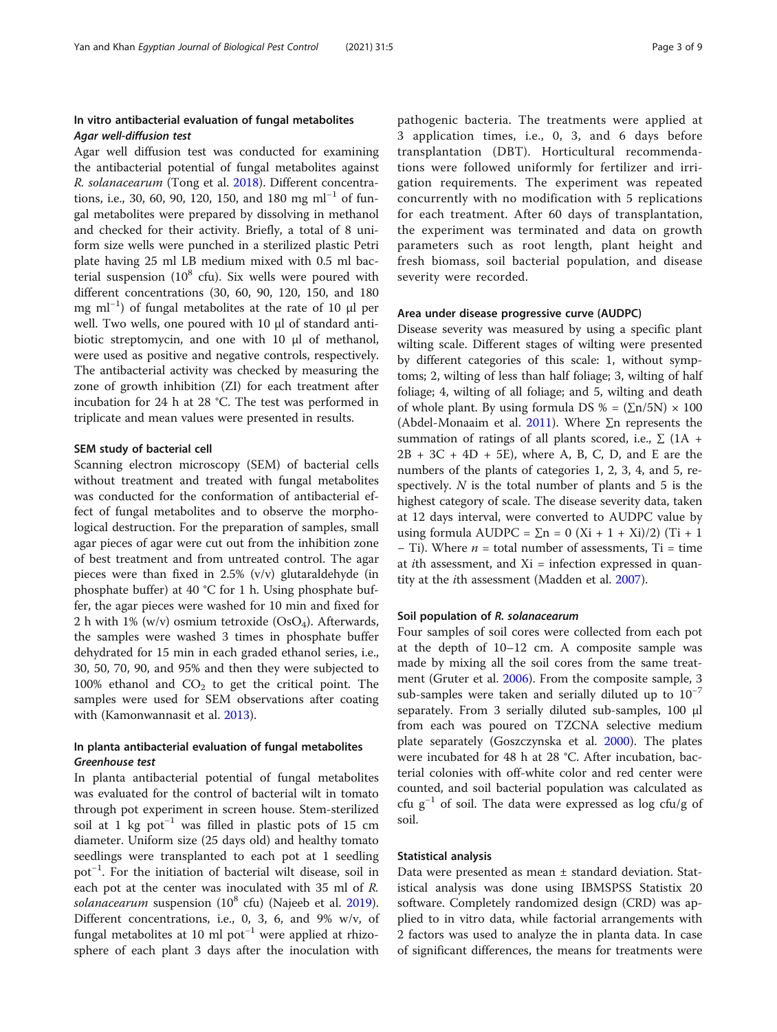## In vitro antibacterial evaluation of fungal metabolites Agar well-diffusion test

Agar well diffusion test was conducted for examining the antibacterial potential of fungal metabolites against R. solanacearum (Tong et al. [2018](#page-8-0)). Different concentrations, i.e., 30, 60, 90, 120, 150, and 180 mg ml<sup>-1</sup> of fungal metabolites were prepared by dissolving in methanol and checked for their activity. Briefly, a total of 8 uniform size wells were punched in a sterilized plastic Petri plate having 25 ml LB medium mixed with 0.5 ml bacterial suspension  $(10^8 \text{ cft})$ . Six wells were poured with different concentrations (30, 60, 90, 120, 150, and 180 mg ml<sup>-1</sup>) of fungal metabolites at the rate of 10 μl per well. Two wells, one poured with 10 μl of standard antibiotic streptomycin, and one with 10 μl of methanol, were used as positive and negative controls, respectively. The antibacterial activity was checked by measuring the zone of growth inhibition (ZI) for each treatment after incubation for 24 h at 28 °C. The test was performed in triplicate and mean values were presented in results.

#### SEM study of bacterial cell

Scanning electron microscopy (SEM) of bacterial cells without treatment and treated with fungal metabolites was conducted for the conformation of antibacterial effect of fungal metabolites and to observe the morphological destruction. For the preparation of samples, small agar pieces of agar were cut out from the inhibition zone of best treatment and from untreated control. The agar pieces were than fixed in 2.5% (v/v) glutaraldehyde (in phosphate buffer) at 40 °C for 1 h. Using phosphate buffer, the agar pieces were washed for 10 min and fixed for 2 h with 1% (w/v) osmium tetroxide  $(OsO<sub>4</sub>)$ . Afterwards, the samples were washed 3 times in phosphate buffer dehydrated for 15 min in each graded ethanol series, i.e., 30, 50, 70, 90, and 95% and then they were subjected to 100% ethanol and  $CO<sub>2</sub>$  to get the critical point. The samples were used for SEM observations after coating with (Kamonwannasit et al. [2013](#page-8-0)).

## In planta antibacterial evaluation of fungal metabolites Greenhouse test

In planta antibacterial potential of fungal metabolites was evaluated for the control of bacterial wilt in tomato through pot experiment in screen house. Stem-sterilized soil at 1 kg pot−<sup>1</sup> was filled in plastic pots of 15 cm diameter. Uniform size (25 days old) and healthy tomato seedlings were transplanted to each pot at 1 seedling pot−<sup>1</sup> . For the initiation of bacterial wilt disease, soil in each pot at the center was inoculated with 35 ml of R. solanacearum suspension  $(10^8 \text{ cfu})$  (Najeeb et al. [2019](#page-8-0)). Different concentrations, i.e., 0, 3, 6, and 9% w/v, of fungal metabolites at 10 ml pot−<sup>1</sup> were applied at rhizosphere of each plant 3 days after the inoculation with pathogenic bacteria. The treatments were applied at 3 application times, i.e., 0, 3, and 6 days before transplantation (DBT). Horticultural recommendations were followed uniformly for fertilizer and irrigation requirements. The experiment was repeated concurrently with no modification with 5 replications for each treatment. After 60 days of transplantation, the experiment was terminated and data on growth parameters such as root length, plant height and fresh biomass, soil bacterial population, and disease severity were recorded.

#### Area under disease progressive curve (AUDPC)

Disease severity was measured by using a specific plant wilting scale. Different stages of wilting were presented by different categories of this scale: 1, without symptoms; 2, wilting of less than half foliage; 3, wilting of half foliage; 4, wilting of all foliage; and 5, wilting and death of whole plant. By using formula DS % =  $(\Sigma n/5N) \times 100$ (Abdel-Monaaim et al. [2011](#page-7-0)). Where  $\Sigma$ n represents the summation of ratings of all plants scored, i.e.,  $\Sigma$  (1A +  $2B + 3C + 4D + 5E$ , where A, B, C, D, and E are the numbers of the plants of categories 1, 2, 3, 4, and 5, respectively.  $N$  is the total number of plants and 5 is the highest category of scale. The disease severity data, taken at 12 days interval, were converted to AUDPC value by using formula AUDPC =  $\Sigma$ n = 0 (Xi + 1 + Xi)/2) (Ti + 1  $-$  Ti). Where  $n =$  total number of assessments, Ti = time at *i*th assessment, and  $Xi =$  infection expressed in quantity at the ith assessment (Madden et al. [2007\)](#page-8-0).

#### Soil population of R. solanacearum

Four samples of soil cores were collected from each pot at the depth of 10–12 cm. A composite sample was made by mixing all the soil cores from the same treatment (Gruter et al. [2006](#page-8-0)). From the composite sample, 3 sub-samples were taken and serially diluted up to  $10^{-7}$ separately. From 3 serially diluted sub-samples, 100 μl from each was poured on TZCNA selective medium plate separately (Goszczynska et al. [2000\)](#page-8-0). The plates were incubated for 48 h at 28 °C. After incubation, bacterial colonies with off-white color and red center were counted, and soil bacterial population was calculated as cfu  $g^{-1}$  of soil. The data were expressed as log cfu/g of soil.

#### Statistical analysis

Data were presented as mean ± standard deviation. Statistical analysis was done using IBMSPSS Statistix 20 software. Completely randomized design (CRD) was applied to in vitro data, while factorial arrangements with 2 factors was used to analyze the in planta data. In case of significant differences, the means for treatments were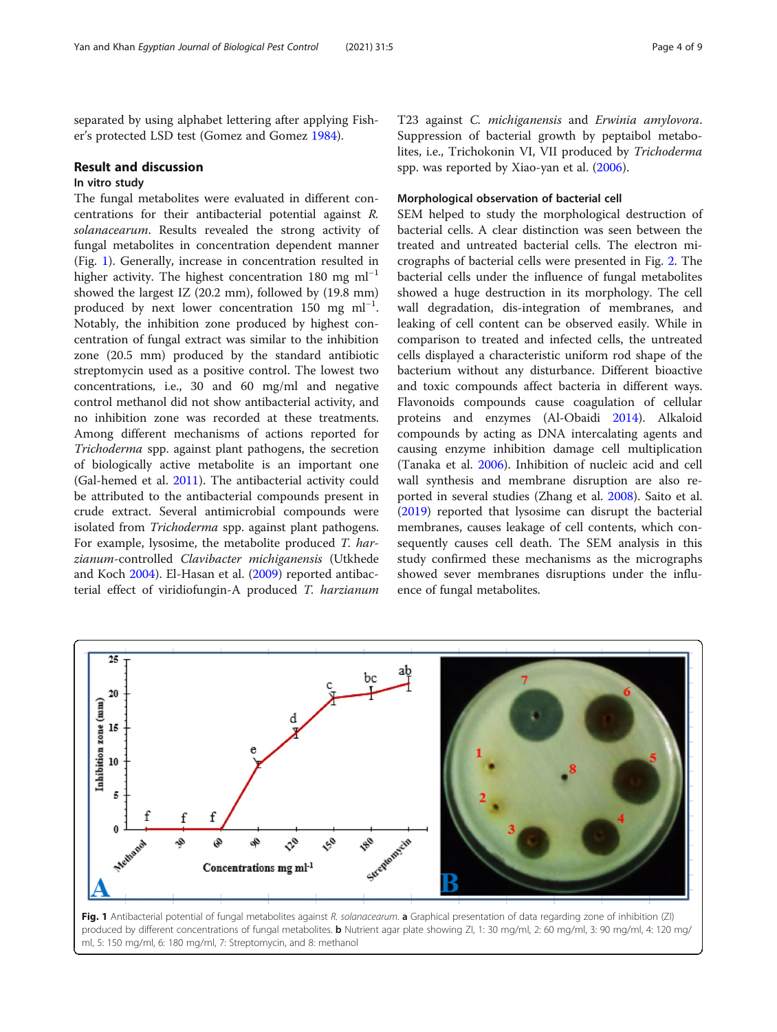separated by using alphabet lettering after applying Fisher's protected LSD test (Gomez and Gomez [1984](#page-8-0)).

#### Result and discussion

## In vitro study

The fungal metabolites were evaluated in different concentrations for their antibacterial potential against R. solanacearum. Results revealed the strong activity of fungal metabolites in concentration dependent manner (Fig. 1). Generally, increase in concentration resulted in higher activity. The highest concentration 180 mg ml<sup>-1</sup> showed the largest IZ (20.2 mm), followed by (19.8 mm) produced by next lower concentration  $150$  mg ml<sup>-1</sup>. Notably, the inhibition zone produced by highest concentration of fungal extract was similar to the inhibition zone (20.5 mm) produced by the standard antibiotic streptomycin used as a positive control. The lowest two concentrations, i.e., 30 and 60 mg/ml and negative control methanol did not show antibacterial activity, and no inhibition zone was recorded at these treatments. Among different mechanisms of actions reported for Trichoderma spp. against plant pathogens, the secretion of biologically active metabolite is an important one (Gal-hemed et al. [2011](#page-7-0)). The antibacterial activity could be attributed to the antibacterial compounds present in crude extract. Several antimicrobial compounds were isolated from Trichoderma spp. against plant pathogens. For example, lysosime, the metabolite produced T. harzianum-controlled Clavibacter michiganensis (Utkhede and Koch [2004\)](#page-8-0). El-Hasan et al. ([2009](#page-7-0)) reported antibacterial effect of viridiofungin-A produced T. harzianum T23 against C. michiganensis and Erwinia amylovora. Suppression of bacterial growth by peptaibol metabolites, i.e., Trichokonin VI, VII produced by Trichoderma spp. was reported by Xiao-yan et al. ([2006](#page-8-0)).

#### Morphological observation of bacterial cell

SEM helped to study the morphological destruction of bacterial cells. A clear distinction was seen between the treated and untreated bacterial cells. The electron micrographs of bacterial cells were presented in Fig. [2](#page-4-0). The bacterial cells under the influence of fungal metabolites showed a huge destruction in its morphology. The cell wall degradation, dis-integration of membranes, and leaking of cell content can be observed easily. While in comparison to treated and infected cells, the untreated cells displayed a characteristic uniform rod shape of the bacterium without any disturbance. Different bioactive and toxic compounds affect bacteria in different ways. Flavonoids compounds cause coagulation of cellular proteins and enzymes (Al-Obaidi [2014](#page-7-0)). Alkaloid compounds by acting as DNA intercalating agents and causing enzyme inhibition damage cell multiplication (Tanaka et al. [2006](#page-8-0)). Inhibition of nucleic acid and cell wall synthesis and membrane disruption are also reported in several studies (Zhang et al. [2008\)](#page-8-0). Saito et al. ([2019\)](#page-8-0) reported that lysosime can disrupt the bacterial membranes, causes leakage of cell contents, which consequently causes cell death. The SEM analysis in this study confirmed these mechanisms as the micrographs showed sever membranes disruptions under the influence of fungal metabolites.



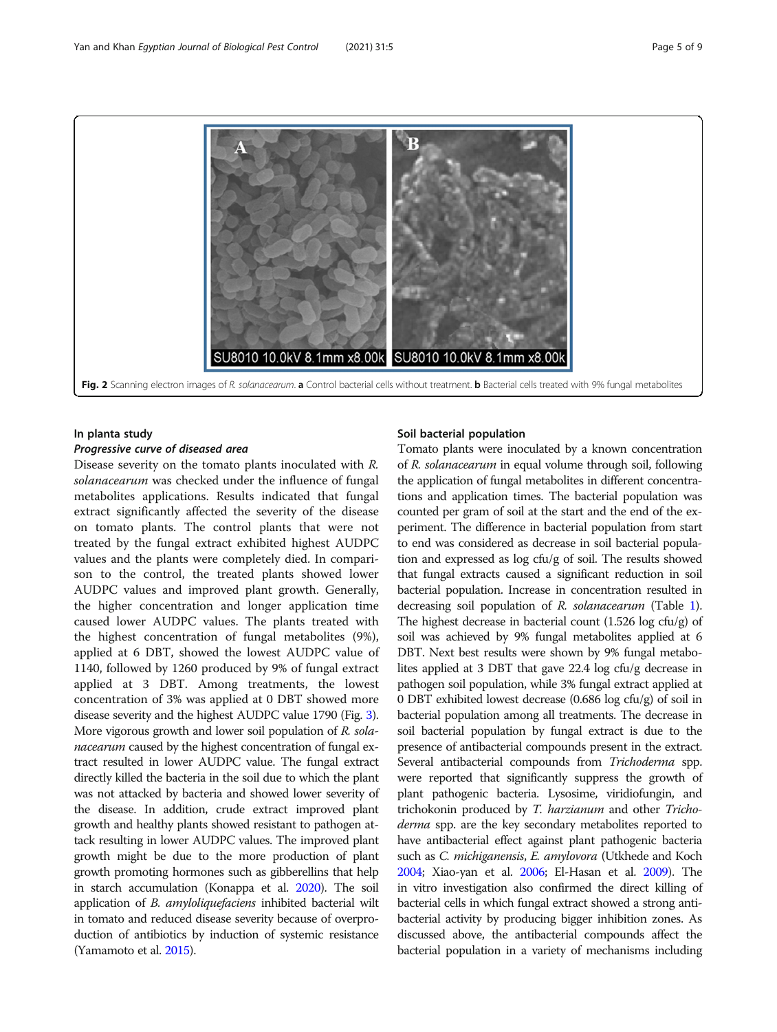<span id="page-4-0"></span>

#### In planta study

#### Progressive curve of diseased area

Disease severity on the tomato plants inoculated with R. solanacearum was checked under the influence of fungal metabolites applications. Results indicated that fungal extract significantly affected the severity of the disease on tomato plants. The control plants that were not treated by the fungal extract exhibited highest AUDPC values and the plants were completely died. In comparison to the control, the treated plants showed lower AUDPC values and improved plant growth. Generally, the higher concentration and longer application time caused lower AUDPC values. The plants treated with the highest concentration of fungal metabolites (9%), applied at 6 DBT, showed the lowest AUDPC value of 1140, followed by 1260 produced by 9% of fungal extract applied at 3 DBT. Among treatments, the lowest concentration of 3% was applied at 0 DBT showed more disease severity and the highest AUDPC value 1790 (Fig. [3](#page-5-0)). More vigorous growth and lower soil population of R. solanacearum caused by the highest concentration of fungal extract resulted in lower AUDPC value. The fungal extract directly killed the bacteria in the soil due to which the plant was not attacked by bacteria and showed lower severity of the disease. In addition, crude extract improved plant growth and healthy plants showed resistant to pathogen attack resulting in lower AUDPC values. The improved plant growth might be due to the more production of plant growth promoting hormones such as gibberellins that help in starch accumulation (Konappa et al. [2020\)](#page-8-0). The soil application of *B. amyloliquefaciens* inhibited bacterial wilt in tomato and reduced disease severity because of overproduction of antibiotics by induction of systemic resistance (Yamamoto et al. [2015](#page-8-0)).

#### Soil bacterial population

Tomato plants were inoculated by a known concentration of R. solanacearum in equal volume through soil, following the application of fungal metabolites in different concentrations and application times. The bacterial population was counted per gram of soil at the start and the end of the experiment. The difference in bacterial population from start to end was considered as decrease in soil bacterial population and expressed as log cfu/g of soil. The results showed that fungal extracts caused a significant reduction in soil bacterial population. Increase in concentration resulted in decreasing soil population of R. solanacearum (Table [1](#page-6-0)). The highest decrease in bacterial count (1.526 log cfu/g) of soil was achieved by 9% fungal metabolites applied at 6 DBT. Next best results were shown by 9% fungal metabolites applied at 3 DBT that gave 22.4 log cfu/g decrease in pathogen soil population, while 3% fungal extract applied at 0 DBT exhibited lowest decrease (0.686 log cfu/g) of soil in bacterial population among all treatments. The decrease in soil bacterial population by fungal extract is due to the presence of antibacterial compounds present in the extract. Several antibacterial compounds from Trichoderma spp. were reported that significantly suppress the growth of plant pathogenic bacteria. Lysosime, viridiofungin, and trichokonin produced by T. harzianum and other Trichoderma spp. are the key secondary metabolites reported to have antibacterial effect against plant pathogenic bacteria such as *C. michiganensis, E. amylovora* (Utkhede and Koch [2004;](#page-8-0) Xiao-yan et al. [2006;](#page-8-0) El-Hasan et al. [2009](#page-7-0)). The in vitro investigation also confirmed the direct killing of bacterial cells in which fungal extract showed a strong antibacterial activity by producing bigger inhibition zones. As discussed above, the antibacterial compounds affect the bacterial population in a variety of mechanisms including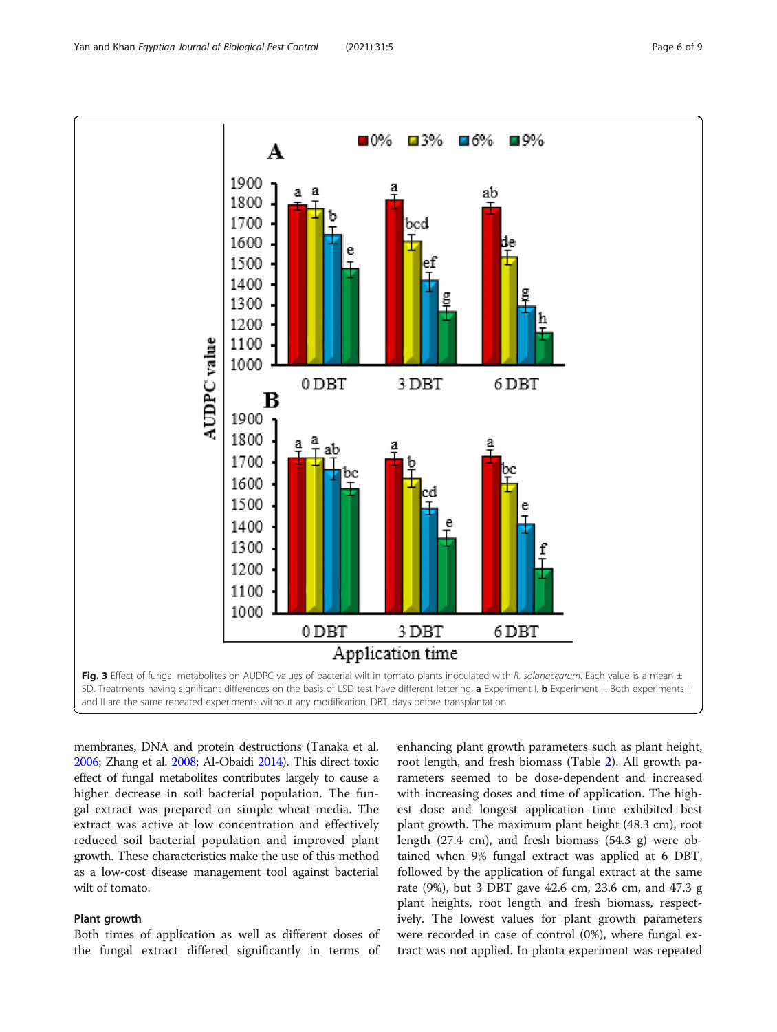<span id="page-5-0"></span>

membranes, DNA and protein destructions (Tanaka et al. [2006;](#page-8-0) Zhang et al. [2008](#page-8-0); Al-Obaidi [2014\)](#page-7-0). This direct toxic effect of fungal metabolites contributes largely to cause a higher decrease in soil bacterial population. The fungal extract was prepared on simple wheat media. The extract was active at low concentration and effectively reduced soil bacterial population and improved plant growth. These characteristics make the use of this method as a low-cost disease management tool against bacterial wilt of tomato.

#### Plant growth

Both times of application as well as different doses of the fungal extract differed significantly in terms of

enhancing plant growth parameters such as plant height, root length, and fresh biomass (Table [2\)](#page-6-0). All growth parameters seemed to be dose-dependent and increased with increasing doses and time of application. The highest dose and longest application time exhibited best plant growth. The maximum plant height (48.3 cm), root length (27.4 cm), and fresh biomass (54.3 g) were obtained when 9% fungal extract was applied at 6 DBT, followed by the application of fungal extract at the same rate (9%), but 3 DBT gave 42.6 cm, 23.6 cm, and 47.3 g plant heights, root length and fresh biomass, respectively. The lowest values for plant growth parameters were recorded in case of control (0%), where fungal extract was not applied. In planta experiment was repeated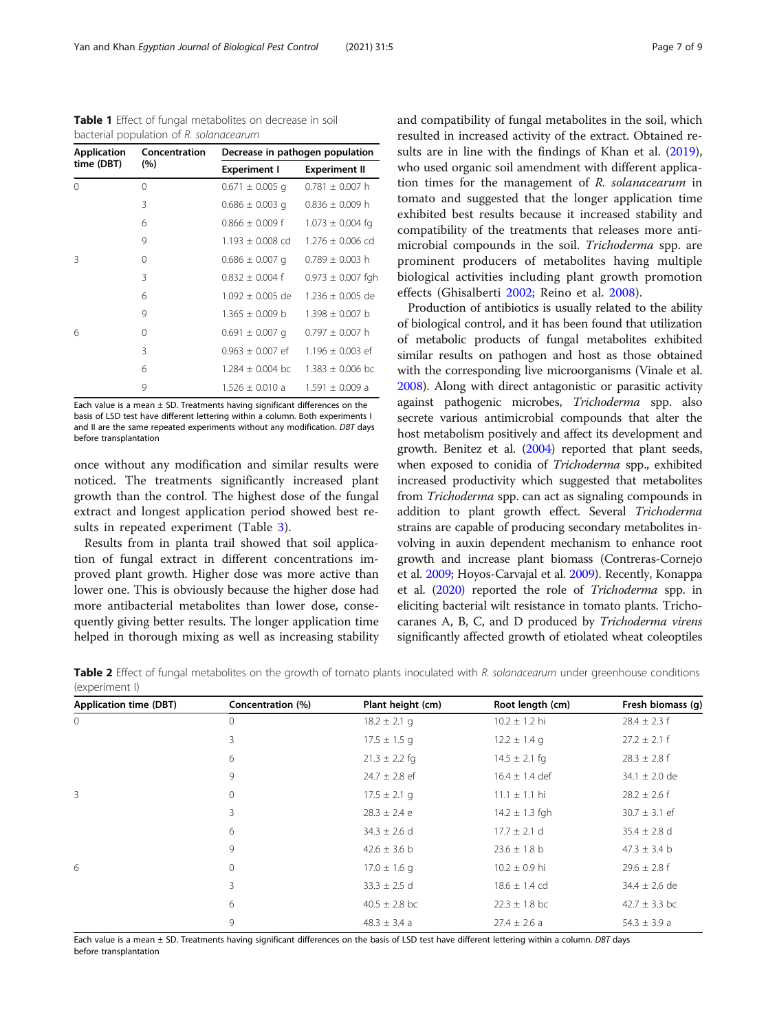<span id="page-6-0"></span>Table 1 Effect of fungal metabolites on decrease in soil bacterial population of R. solanacearum Application Concentration

| <b>Application</b> | Concentration | Decrease in pathogen population |                       |  |
|--------------------|---------------|---------------------------------|-----------------------|--|
| time (DBT)         | (% )          | <b>Experiment I</b>             | <b>Experiment II</b>  |  |
| $\mathbf{0}$       | $\Omega$      | $0.671 \pm 0.005$ q             | $0.781 \pm 0.007$ h   |  |
|                    | 3             | $0.686 \pm 0.003$ q             | $0.836 \pm 0.009$ h   |  |
|                    | 6             | $0.866 \pm 0.009$ f             | $1.073 \pm 0.004$ fg  |  |
|                    | 9             | $1.193 \pm 0.008$ cd            | $1.276 \pm 0.006$ cd  |  |
| 3                  | $\Omega$      | $0.686 \pm 0.007$ q             | $0.789 \pm 0.003$ h   |  |
|                    | 3             | $0.832 \pm 0.004$ f             | $0.973 \pm 0.007$ fgh |  |
|                    | 6             | $1.092 \pm 0.005$ de            | $1.236 \pm 0.005$ de  |  |
|                    | 9             | $1.365 \pm 0.009$ b             | $1.398 \pm 0.007$ b   |  |
| 6                  | 0             | $0.691 \pm 0.007$ q             | $0.797 \pm 0.007$ h   |  |
|                    | 3             | $0.963 \pm 0.007$ ef            | $1.196 \pm 0.003$ ef  |  |
|                    | 6             | $1.284 \pm 0.004$ bc            | $1.383 \pm 0.006$ bc  |  |
|                    | 9             | $1.526 \pm 0.010$ a             | $1.591 \pm 0.009$ a   |  |

Each value is a mean  $\pm$  SD. Treatments having significant differences on the basis of LSD test have different lettering within a column. Both experiments I and II are the same repeated experiments without any modification. DBT days before transplantation

once without any modification and similar results were noticed. The treatments significantly increased plant growth than the control. The highest dose of the fungal extract and longest application period showed best results in repeated experiment (Table [3\)](#page-7-0).

Results from in planta trail showed that soil application of fungal extract in different concentrations improved plant growth. Higher dose was more active than lower one. This is obviously because the higher dose had more antibacterial metabolites than lower dose, consequently giving better results. The longer application time helped in thorough mixing as well as increasing stability and compatibility of fungal metabolites in the soil, which resulted in increased activity of the extract. Obtained re-sults are in line with the findings of Khan et al. ([2019](#page-8-0)), who used organic soil amendment with different application times for the management of R. solanacearum in tomato and suggested that the longer application time exhibited best results because it increased stability and compatibility of the treatments that releases more antimicrobial compounds in the soil. Trichoderma spp. are prominent producers of metabolites having multiple biological activities including plant growth promotion effects (Ghisalberti [2002](#page-8-0); Reino et al. [2008](#page-8-0)).

Production of antibiotics is usually related to the ability of biological control, and it has been found that utilization of metabolic products of fungal metabolites exhibited similar results on pathogen and host as those obtained with the corresponding live microorganisms (Vinale et al. [2008\)](#page-8-0). Along with direct antagonistic or parasitic activity against pathogenic microbes, Trichoderma spp. also secrete various antimicrobial compounds that alter the host metabolism positively and affect its development and growth. Benitez et al. [\(2004\)](#page-7-0) reported that plant seeds, when exposed to conidia of Trichoderma spp., exhibited increased productivity which suggested that metabolites from Trichoderma spp. can act as signaling compounds in addition to plant growth effect. Several Trichoderma strains are capable of producing secondary metabolites involving in auxin dependent mechanism to enhance root growth and increase plant biomass (Contreras-Cornejo et al. [2009;](#page-7-0) Hoyos-Carvajal et al. [2009\)](#page-8-0). Recently, Konappa et al. [\(2020\)](#page-8-0) reported the role of Trichoderma spp. in eliciting bacterial wilt resistance in tomato plants. Trichocaranes A, B, C, and D produced by Trichoderma virens significantly affected growth of etiolated wheat coleoptiles

Table 2 Effect of fungal metabolites on the growth of tomato plants inoculated with R. solanacearum under greenhouse conditions (experiment I)

| <b>Application time (DBT)</b> | Concentration (%) | Plant height (cm) | Root length (cm)   | Fresh biomass (g) |
|-------------------------------|-------------------|-------------------|--------------------|-------------------|
| $\circ$                       | $\mathbf{0}$      | $18.2 \pm 2.1$ g  | $10.2 \pm 1.2$ hi  | $28.4 \pm 2.3$ f  |
|                               | 3                 | $17.5 \pm 1.5$ q  | $12.2 \pm 1.4$ g   | $27.2 \pm 2.1$ f  |
|                               | 6                 | $21.3 \pm 2.2$ fg | $14.5 \pm 2.1$ fg  | $28.3 \pm 2.8$ f  |
|                               | 9                 | $24.7 \pm 2.8$ ef | $16.4 \pm 1.4$ def | $34.1 \pm 2.0$ de |
| 3                             | $\mathbf 0$       | $17.5 \pm 2.1$ q  | $11.1 \pm 1.1$ hi  | $28.2 \pm 2.6$ f  |
|                               | 3                 | $28.3 \pm 2.4 e$  | $14.2 \pm 1.3$ fgh | $30.7 \pm 3.1$ ef |
|                               | 6                 | $34.3 \pm 2.6$ d  | $17.7 \pm 2.1$ d   | $35.4 \pm 2.8$ d  |
|                               | 9                 | $42.6 \pm 3.6$ b  | $23.6 \pm 1.8$ b   | $47.3 \pm 3.4$ b  |
| 6                             | $\mathbf 0$       | $17.0 \pm 1.6$ q  | $10.2 \pm 0.9$ hi  | $29.6 \pm 2.8$ f  |
|                               | 3                 | $33.3 \pm 2.5$ d  | $18.6 \pm 1.4$ cd  | $34.4 \pm 2.6$ de |
|                               | 6                 | $40.5 \pm 2.8$ bc | $22.3 \pm 1.8$ bc  | $42.7 \pm 3.3$ bc |
|                               | 9                 | $48.3 \pm 3.4 a$  | $27.4 \pm 2.6$ a   | $54.3 \pm 3.9 a$  |

Each value is a mean ± SD. Treatments having significant differences on the basis of LSD test have different lettering within a column. DBT days before transplantation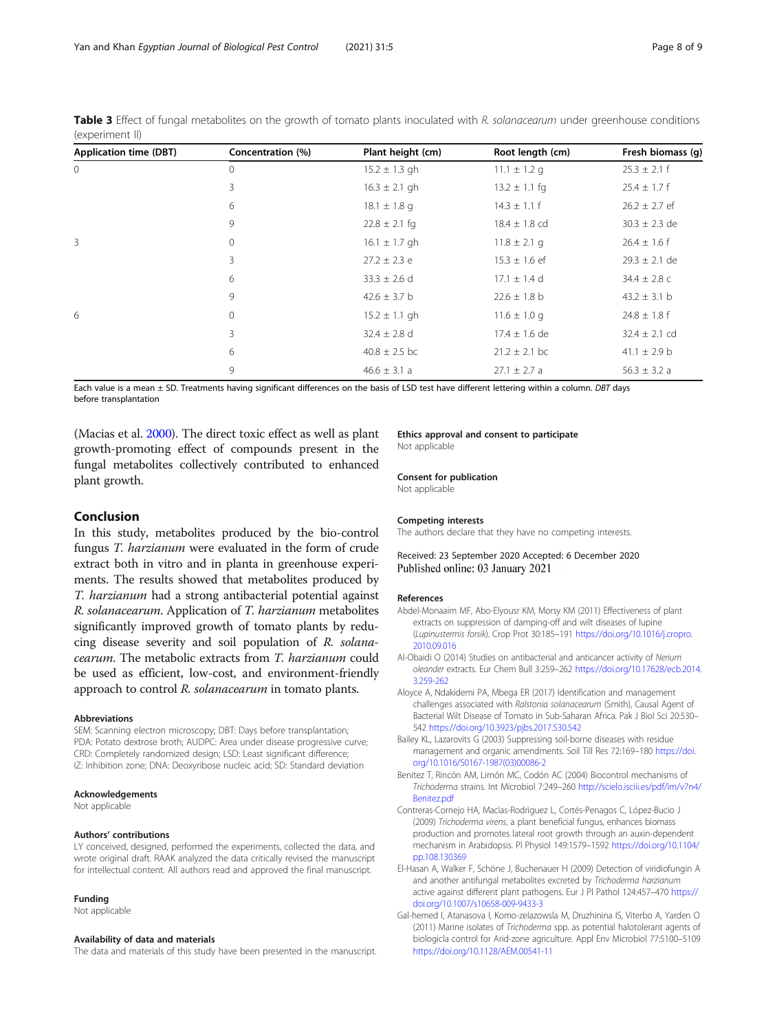| <b>Application time (DBT)</b> | Concentration (%) | Plant height (cm) | Root length (cm)  | Fresh biomass (q) |
|-------------------------------|-------------------|-------------------|-------------------|-------------------|
| $\mathbf{0}$                  | $\Omega$          | $15.2 \pm 1.3$ gh | $11.1 \pm 1.2$ g  | $25.3 \pm 2.1$ f  |
|                               | 3                 | $16.3 \pm 2.1$ gh | $13.2 \pm 1.1$ fg | $25.4 \pm 1.7$ f  |
|                               | 6                 | $18.1 \pm 1.8$ g  | $14.3 \pm 1.1$ f  | $26.2 \pm 2.7$ ef |
|                               | 9                 | $22.8 \pm 2.1$ fg | $18.4 \pm 1.8$ cd | $30.3 \pm 2.3$ de |
| 3                             | 0                 | $16.1 \pm 1.7$ gh | $11.8 \pm 2.1$ g  | $26.4 \pm 1.6$ f  |
|                               | 3                 | $27.2 \pm 2.3$ e  | $15.3 \pm 1.6$ ef | $29.3 \pm 2.1$ de |
|                               | 6                 | $33.3 \pm 2.6$ d  | $17.1 \pm 1.4$ d  | $34.4 \pm 2.8$ c  |
|                               | 9                 | $42.6 \pm 3.7$ b  | $22.6 \pm 1.8$ b  | $43.2 \pm 3.1$ b  |
| 6                             | $\circ$           | $15.2 \pm 1.1$ gh | $11.6 \pm 1.0$ g  | $24.8 \pm 1.8$ f  |
|                               | 3                 | $32.4 \pm 2.8$ d  | $17.4 \pm 1.6$ de | $32.4 \pm 2.1$ cd |
|                               | 6                 | $40.8 \pm 2.5$ bc | $21.2 \pm 2.1$ bc | $41.1 \pm 2.9 b$  |
|                               | 9                 | $46.6 \pm 3.1 a$  | $27.1 \pm 2.7$ a  | $56.3 \pm 3.2 a$  |

<span id="page-7-0"></span>Table 3 Effect of fungal metabolites on the growth of tomato plants inoculated with R. solanacearum under greenhouse conditions (experiment II)

Each value is a mean ± SD. Treatments having significant differences on the basis of LSD test have different lettering within a column. DBT days before transplantation

(Macias et al. [2000](#page-8-0)). The direct toxic effect as well as plant growth-promoting effect of compounds present in the fungal metabolites collectively contributed to enhanced plant growth.

#### Conclusion

In this study, metabolites produced by the bio-control fungus T. harzianum were evaluated in the form of crude extract both in vitro and in planta in greenhouse experiments. The results showed that metabolites produced by T. harzianum had a strong antibacterial potential against R. solanacearum. Application of T. harzianum metabolites significantly improved growth of tomato plants by reducing disease severity and soil population of R. solanacearum. The metabolic extracts from T. harzianum could be used as efficient, low-cost, and environment-friendly approach to control R. solanacearum in tomato plants.

#### Abbreviations

SEM: Scanning electron microscopy; DBT: Days before transplantation; PDA: Potato dextrose broth; AUDPC: Area under disease progressive curve; CRD: Completely randomized design; LSD: Least significant difference; IZ: Inhibition zone; DNA: Deoxyribose nucleic acid; SD: Standard deviation

#### Acknowledgements

Not applicable

#### Authors' contributions

LY conceived, designed, performed the experiments, collected the data, and wrote original draft. RAAK analyzed the data critically revised the manuscript for intellectual content. All authors read and approved the final manuscript.

#### Funding

Not applicable

#### Availability of data and materials

The data and materials of this study have been presented in the manuscript.

#### Ethics approval and consent to participate Not applicable

Consent for publication

Not applicable

#### Competing interests

The authors declare that they have no competing interests.

Received: 23 September 2020 Accepted: 6 December 2020 Published online: 03 January 2021

#### References

- Abdel-Monaaim MF, Abo-Elyousr KM, Morsy KM (2011) Effectiveness of plant extracts on suppression of damping-off and wilt diseases of lupine (Lupinustermis forsik). Crop Prot 30:185–191 [https://doi.org/10.1016/j.cropro.](https://doi.org/10.1016/j.cropro.2010.09.016) [2010.09.016](https://doi.org/10.1016/j.cropro.2010.09.016)
- Al-Obaidi O (2014) Studies on antibacterial and anticancer activity of Nerium oleander extracts. Eur Chem Bull 3:259–262 [https://doi.org/10.17628/ecb.2014.](https://doi.org/10.17628/ecb.2014.3.259-262) [3.259-262](https://doi.org/10.17628/ecb.2014.3.259-262)
- Aloyce A, Ndakidemi PA, Mbega ER (2017) Identification and management challenges associated with Ralstonia solanacearum (Smith), Causal Agent of Bacterial Wilt Disease of Tomato in Sub-Saharan Africa. Pak J Biol Sci 20:530– 542 <https://doi.org/10.3923/pjbs.2017.530.542>
- Bailey KL, Lazarovits G (2003) Suppressing soil-borne diseases with residue management and organic amendments. Soil Till Res 72:169–180 [https://doi.](https://doi.org/10.1016/S0167-1987(03)00086-2) [org/10.1016/S0167-1987\(03\)00086-2](https://doi.org/10.1016/S0167-1987(03)00086-2)
- Benitez T, Rincón AM, Limón MC, Codón AC (2004) Biocontrol mechanisms of Trichoderma strains. Int Microbiol 7:249–260 [http://scielo.isciii.es/pdf/im/v7n4/](http://scielo.isciii.es/pdf/im/v7n4/Benitez.pdf) [Benitez.pdf](http://scielo.isciii.es/pdf/im/v7n4/Benitez.pdf)
- Contreras-Cornejo HA, Macìas-Rodrìguez L, Cortés-Penagos C, López-Bucio J (2009) Trichoderma virens, a plant beneficial fungus, enhances biomass production and promotes lateral root growth through an auxin-dependent mechanism in Arabidopsis. Pl Physiol 149:1579–1592 [https://doi.org/10.1104/](https://doi.org/10.1104/pp.108.130369) [pp.108.130369](https://doi.org/10.1104/pp.108.130369)
- El-Hasan A, Walker F, Schöne J, Buchenauer H (2009) Detection of viridiofungin A and another antifungal metabolites excreted by Trichoderma harzianum active against different plant pathogens. Eur J Pl Pathol 124:457–470 [https://](https://doi.org/10.1007/s10658-009-9433-3) [doi.org/10.1007/s10658-009-9433-3](https://doi.org/10.1007/s10658-009-9433-3)
- Gal-hemed I, Atanasova I, Komo-zelazowsla M, Druzhinina IS, Viterbo A, Yarden O (2011) Marine isolates of Trichoderma spp. as potential halotolerant agents of biologicla control for Arid-zone agriculture. Appl Env Microbiol 77:5100–5109 <https://doi.org/10.1128/AEM.00541-11>